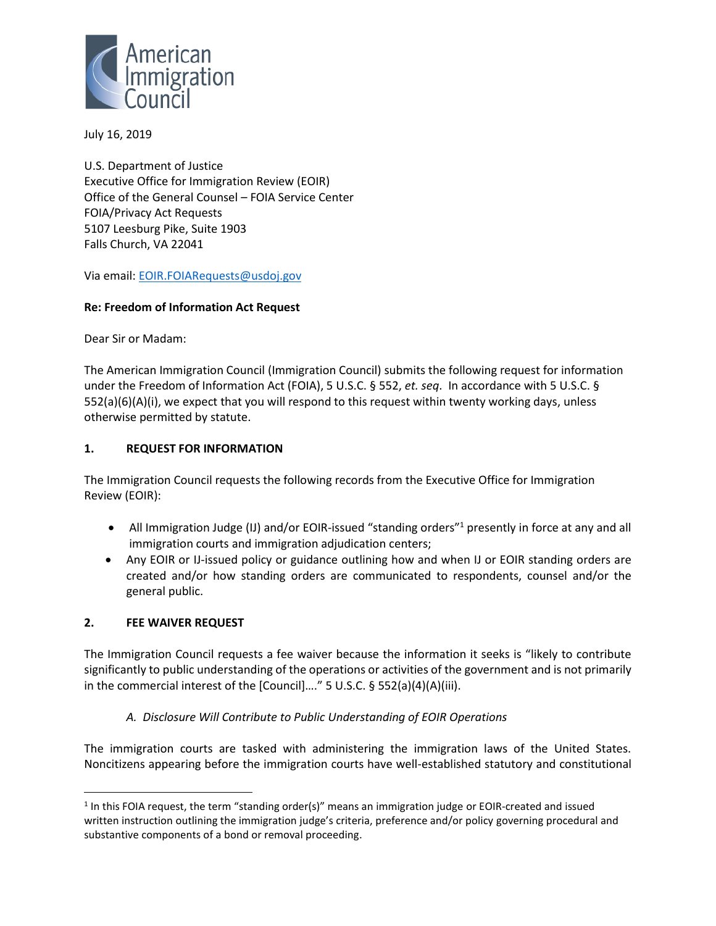

July 16, 2019

U.S. Department of Justice Executive Office for Immigration Review (EOIR) Office of the General Counsel – FOIA Service Center FOIA/Privacy Act Requests 5107 Leesburg Pike, Suite 1903 Falls Church, VA 22041

Via email[: EOIR.FOIARequests@usdoj.gov](file:///C:/Users/laura/Desktop/EOIR.FOIARequests@usdoj.gov)

#### **Re: Freedom of Information Act Request**

Dear Sir or Madam:

The American Immigration Council (Immigration Council) submits the following request for information under the Freedom of Information Act (FOIA), 5 U.S.C. § 552, *et. seq*. In accordance with 5 U.S.C. § 552(a)(6)(A)(i), we expect that you will respond to this request within twenty working days, unless otherwise permitted by statute.

#### **1. REQUEST FOR INFORMATION**

The Immigration Council requests the following records from the Executive Office for Immigration Review (EOIR):

- All Immigration Judge (IJ) and/or EOIR-issued "standing orders"<sup>1</sup> presently in force at any and all immigration courts and immigration adjudication centers;
- Any EOIR or IJ-issued policy or guidance outlining how and when IJ or EOIR standing orders are created and/or how standing orders are communicated to respondents, counsel and/or the general public.

## **2. FEE WAIVER REQUEST**

 $\overline{a}$ 

The Immigration Council requests a fee waiver because the information it seeks is "likely to contribute significantly to public understanding of the operations or activities of the government and is not primarily in the commercial interest of the [Council]…." 5 U.S.C. § 552(a)(4)(A)(iii).

## *A. Disclosure Will Contribute to Public Understanding of EOIR Operations*

The immigration courts are tasked with administering the immigration laws of the United States. Noncitizens appearing before the immigration courts have well-established statutory and constitutional

<sup>&</sup>lt;sup>1</sup> In this FOIA request, the term "standing order(s)" means an immigration judge or EOIR-created and issued written instruction outlining the immigration judge's criteria, preference and/or policy governing procedural and substantive components of a bond or removal proceeding.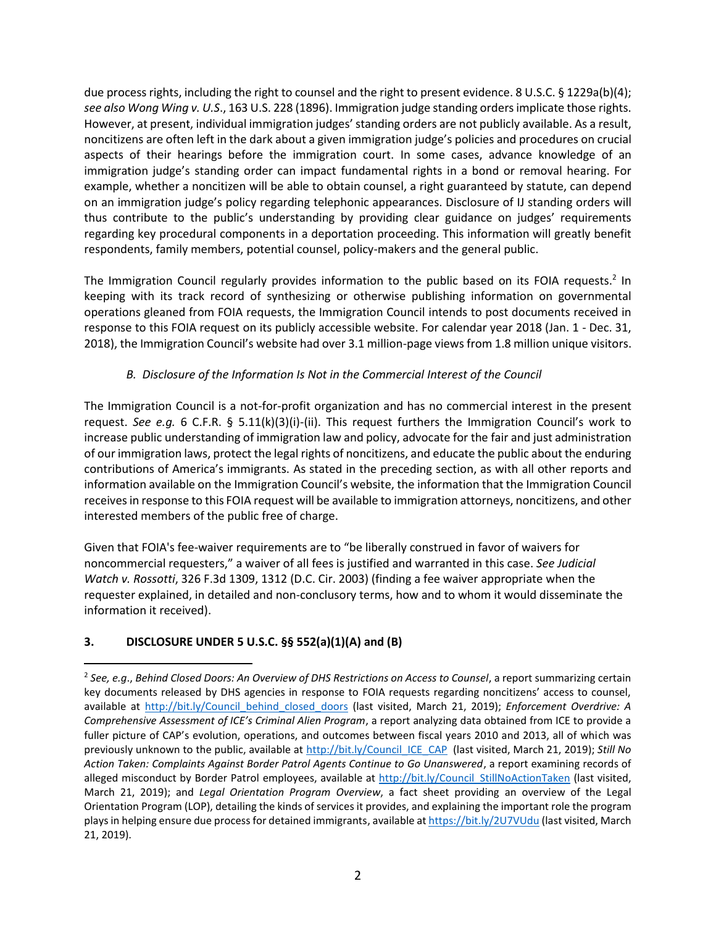due process rights, including the right to counsel and the right to present evidence. 8 U.S.C. § 1229a(b)(4); *see also Wong Wing v. U.S*., 163 U.S. 228 (1896). Immigration judge standing orders implicate those rights. However, at present, individual immigration judges' standing orders are not publicly available. As a result, noncitizens are often left in the dark about a given immigration judge's policies and procedures on crucial aspects of their hearings before the immigration court. In some cases, advance knowledge of an immigration judge's standing order can impact fundamental rights in a bond or removal hearing. For example, whether a noncitizen will be able to obtain counsel, a right guaranteed by statute, can depend on an immigration judge's policy regarding telephonic appearances. Disclosure of IJ standing orders will thus contribute to the public's understanding by providing clear guidance on judges' requirements regarding key procedural components in a deportation proceeding. This information will greatly benefit respondents, family members, potential counsel, policy-makers and the general public.

The Immigration Council regularly provides information to the public based on its FOIA requests.<sup>2</sup> In keeping with its track record of synthesizing or otherwise publishing information on governmental operations gleaned from FOIA requests, the Immigration Council intends to post documents received in response to this FOIA request on its publicly accessible website. For calendar year 2018 (Jan. 1 - Dec. 31, 2018), the Immigration Council's website had over 3.1 million-page views from 1.8 million unique visitors.

## *B. Disclosure of the Information Is Not in the Commercial Interest of the Council*

The Immigration Council is a not-for-profit organization and has no commercial interest in the present request. *See e.g.* 6 C.F.R. § 5.11(k)(3)(i)-(ii). This request furthers the Immigration Council's work to increase public understanding of immigration law and policy, advocate for the fair and just administration of our immigration laws, protect the legal rights of noncitizens, and educate the public about the enduring contributions of America's immigrants. As stated in the preceding section, as with all other reports and information available on the Immigration Council's website, the information that the Immigration Council receivesin response to this FOIA request will be available to immigration attorneys, noncitizens, and other interested members of the public free of charge.

Given that FOIA's fee-waiver requirements are to "be liberally construed in favor of waivers for noncommercial requesters," a waiver of all fees is justified and warranted in this case. *See Judicial Watch v. Rossotti*, 326 F.3d 1309, 1312 (D.C. Cir. 2003) (finding a fee waiver appropriate when the requester explained, in detailed and non-conclusory terms, how and to whom it would disseminate the information it received).

# **3. DISCLOSURE UNDER 5 U.S.C. §§ 552(a)(1)(A) and (B)**

 $\overline{a}$ 

<sup>2</sup> *See, e.g*., *Behind Closed Doors: An Overview of DHS Restrictions on Access to Counsel*, a report summarizing certain key documents released by DHS agencies in response to FOIA requests regarding noncitizens' access to counsel, available at [http://bit.ly/Council\\_behind\\_closed\\_doors](http://bit.ly/Council_behind_closed_doors) (last visited, March 21, 2019); *Enforcement Overdrive: A Comprehensive Assessment of ICE's Criminal Alien Program*, a report analyzing data obtained from ICE to provide a fuller picture of CAP's evolution, operations, and outcomes between fiscal years 2010 and 2013, all of which was previously unknown to the public, available at [http://bit.ly/Council\\_ICE\\_CAP](http://bit.ly/Council_ICE_CAP) (last visited, March 21, 2019); *Still No Action Taken: Complaints Against Border Patrol Agents Continue to Go Unanswered*, a report examining records of alleged misconduct by Border Patrol employees, available at http://bit.ly/Council StillNoActionTaken (last visited, March 21, 2019); and *Legal Orientation Program Overview*, a fact sheet providing an overview of the Legal Orientation Program (LOP), detailing the kinds of services it provides, and explaining the important role the program plays in helping ensure due process for detained immigrants, available a[t https://bit.ly/2U7VUdu](https://bit.ly/2U7VUdu) (last visited, March 21, 2019).